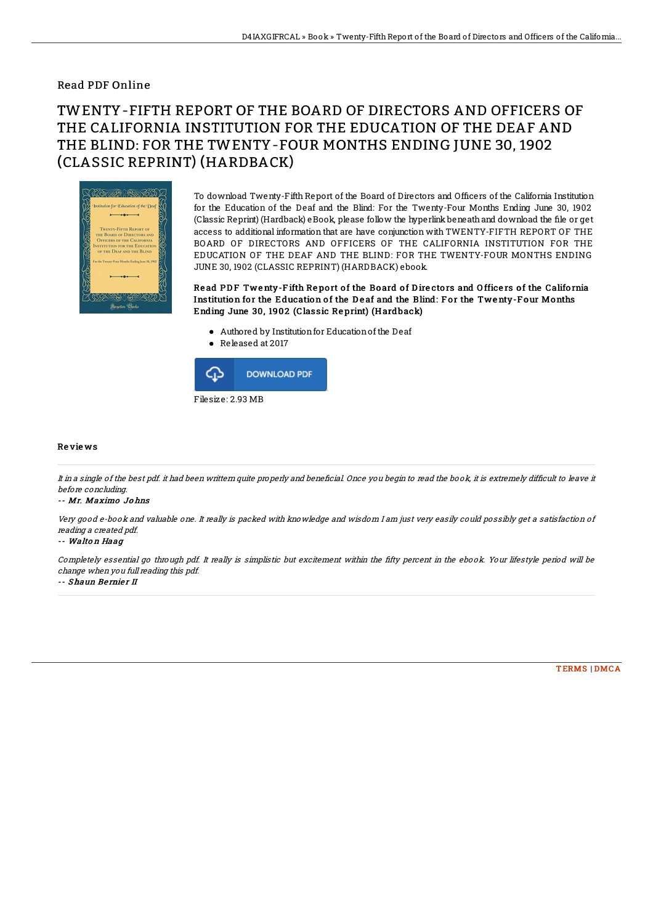### Read PDF Online

# TWENTY-FIFTH REPORT OF THE BOARD OF DIRECTORS AND OFFICERS OF THE CALIFORNIA INSTITUTION FOR THE EDUCATION OF THE DEAF AND THE BLIND: FOR THE TWENTY-FOUR MONTHS ENDING JUNE 30, 1902 (CLASSIC REPRINT) (HARDBACK)



To download Twenty-Fifth Report of the Board of Directors and Officers of the California Institution for the Education of the Deaf and the Blind: For the Twenty-Four Months Ending June 30, 1902 (Classic Reprint) (Hardback) eBook, please follow the hyperlink beneath and download the file or get access to additional information that are have conjunction with TWENTY-FIFTH REPORT OF THE BOARD OF DIRECTORS AND OFFICERS OF THE CALIFORNIA INSTITUTION FOR THE EDUCATION OF THE DEAF AND THE BLIND: FOR THE TWENTY-FOUR MONTHS ENDING JUNE 30, 1902 (CLASSIC REPRINT) (HARDBACK) ebook.

Read PDF Twenty-Fifth Report of the Board of Directors and Officers of the California Institution for the Education of the Deaf and the Blind: For the Twenty-Four Months Ending June 30, 1902 (Classic Re print) (H ardback)

- $\bullet$  Authored by Institution for Education of the Deaf
- Released at 2017



#### Re vie ws

It in a single of the best pdf. it had been writtern quite properly and beneficial. Once you begin to read the book, it is extremely difficult to leave it before concluding.

#### -- Mr. Maximo Jo hns

Very good e-book and valuable one. It really is packed with knowledge and wisdom I am just very easily could possibly get <sup>a</sup> satisfaction of reading <sup>a</sup> created pdf.

#### -- Walton Haag

Completely essential go through pdf. It really is simplistic but excitement within the fifty percent in the ebook. Your lifestyle period will be change when you full reading this pdf.

-- Shaun Be rnie <sup>r</sup> II